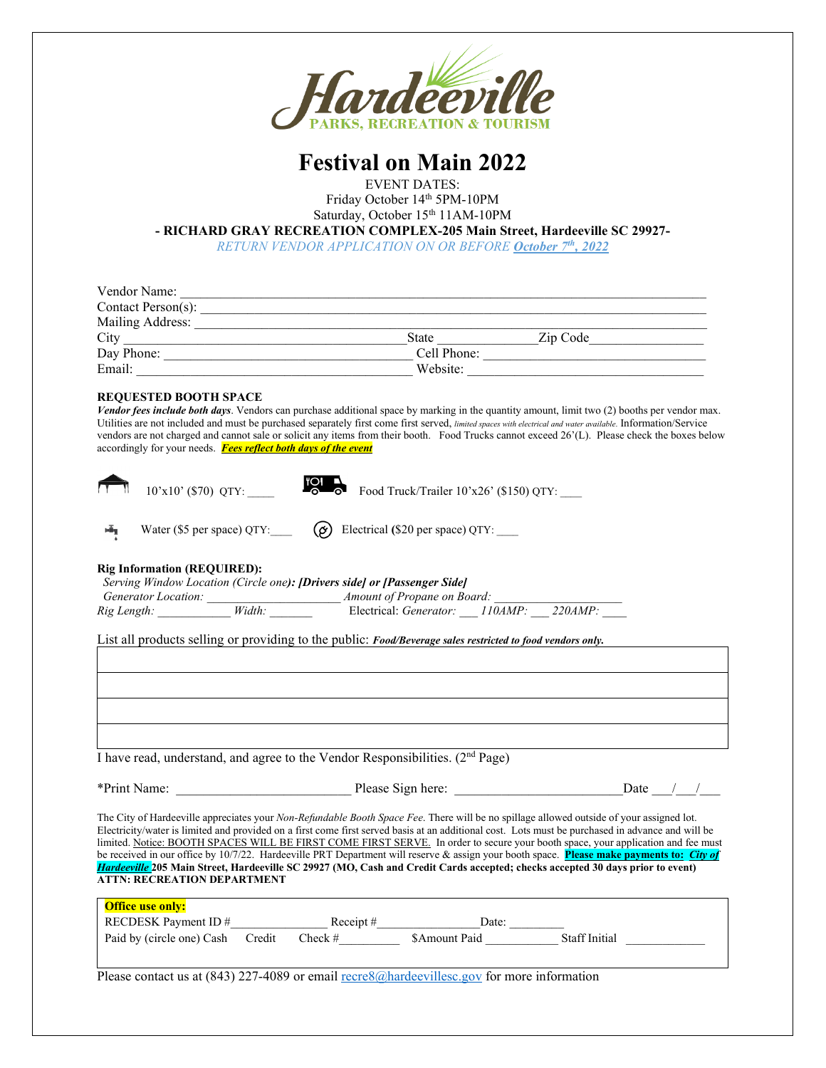

## **Festival on Main 2022**

EVENT DATES:

Friday October 14th 5PM-10PM Saturday, October 15<sup>th</sup> 11AM-10PM

**- RICHARD GRAY RECREATION COMPLEX-205 Main Street, Hardeeville SC 29927-** 

*RETURN VENDOR APPLICATION ON OR BEFORE October 7th, 2022*

| Vendor Name:           |              |          |  |
|------------------------|--------------|----------|--|
| Contact Person $(s)$ : |              |          |  |
| Mailing Address:       |              |          |  |
| City                   | <b>State</b> | Zip Code |  |
| Day Phone:             | Cell Phone:  |          |  |
| Email:                 | Website:     |          |  |

#### **REQUESTED BOOTH SPACE**

ň

*Vendor fees include both days*. Vendors can purchase additional space by marking in the quantity amount, limit two (2) booths per vendor max. Utilities are not included and must be purchased separately first come first served, *limited spaces with electrical and water available*. Information/Service vendors are not charged and cannot sale or solicit any items from their booth. Food Trucks cannot exceed 26'(L). Please check the boxes below accordingly for your needs. *Fees reflect both days of the event*

| $10'x10'$ (\$70) QTY: | Food Truck/Trailer $10^{\circ}$ x26' (\$150) QTY: |
|-----------------------|---------------------------------------------------|
|                       |                                                   |

Water (\$5 per space) QTY:  $\bigotimes$  Electrical (\$20 per space) QTY:

#### **Rig Information (REQUIRED):**   *Serving Window Location (Circle one): [Drivers side] or [Passenger Side]*

|                     |        | Serving Window Location (Circle one). Drivers sule for frussenger Sule |        |                    |  |
|---------------------|--------|------------------------------------------------------------------------|--------|--------------------|--|
| Generator Location: |        | <i>Amount of Propane on Board:</i>                                     |        |                    |  |
| Rig Length:         | Width: | Electrical: <i>Generator</i> :                                         | 110AMP | $220$ <i>AMP</i> : |  |

List all products selling or providing to the public: *Food/Beverage sales restricted to food vendors only.*

I have read, understand, and agree to the Vendor Responsibilities. (2nd Page)

| *Print Name:                                                                                                                                                                                                                                                                                                                                                                                                                                                                                                                                                                                                                                                                                                                                                      |        |             | Please Sign here: |                      | Date |  |  |
|-------------------------------------------------------------------------------------------------------------------------------------------------------------------------------------------------------------------------------------------------------------------------------------------------------------------------------------------------------------------------------------------------------------------------------------------------------------------------------------------------------------------------------------------------------------------------------------------------------------------------------------------------------------------------------------------------------------------------------------------------------------------|--------|-------------|-------------------|----------------------|------|--|--|
| The City of Hardeeville appreciates your <i>Non-Refundable Booth Space Fee</i> . There will be no spillage allowed outside of your assigned lot.<br>Electricity/water is limited and provided on a first come first served basis at an additional cost. Lots must be purchased in advance and will be<br>limited. Notice: BOOTH SPACES WILL BE FIRST COME FIRST SERVE. In order to secure your booth space, your application and fee must<br>be received in our office by $10/7/22$ . Hardeeville PRT Department will reserve & assign your booth space. Please make payments to: City of<br>Hardeeville 205 Main Street, Hardeeville SC 29927 (MO, Cash and Credit Cards accepted; checks accepted 30 days prior to event)<br><b>ATTN: RECREATION DEPARTMENT</b> |        |             |                   |                      |      |  |  |
| <b>Office use only:</b>                                                                                                                                                                                                                                                                                                                                                                                                                                                                                                                                                                                                                                                                                                                                           |        |             |                   |                      |      |  |  |
| RECDESK Payment ID $#$                                                                                                                                                                                                                                                                                                                                                                                                                                                                                                                                                                                                                                                                                                                                            |        | Receipt $#$ | Date:             |                      |      |  |  |
| Paid by (circle one) Cash                                                                                                                                                                                                                                                                                                                                                                                                                                                                                                                                                                                                                                                                                                                                         | Credit | $Check \#$  | \$Amount Paid     | <b>Staff Initial</b> |      |  |  |
|                                                                                                                                                                                                                                                                                                                                                                                                                                                                                                                                                                                                                                                                                                                                                                   |        |             |                   |                      |      |  |  |

Please contact us at  $(843)$  227-4089 or email [recre8@hardeevillesc.gov](mailto:recre8@hardeevillesc.gov) for more information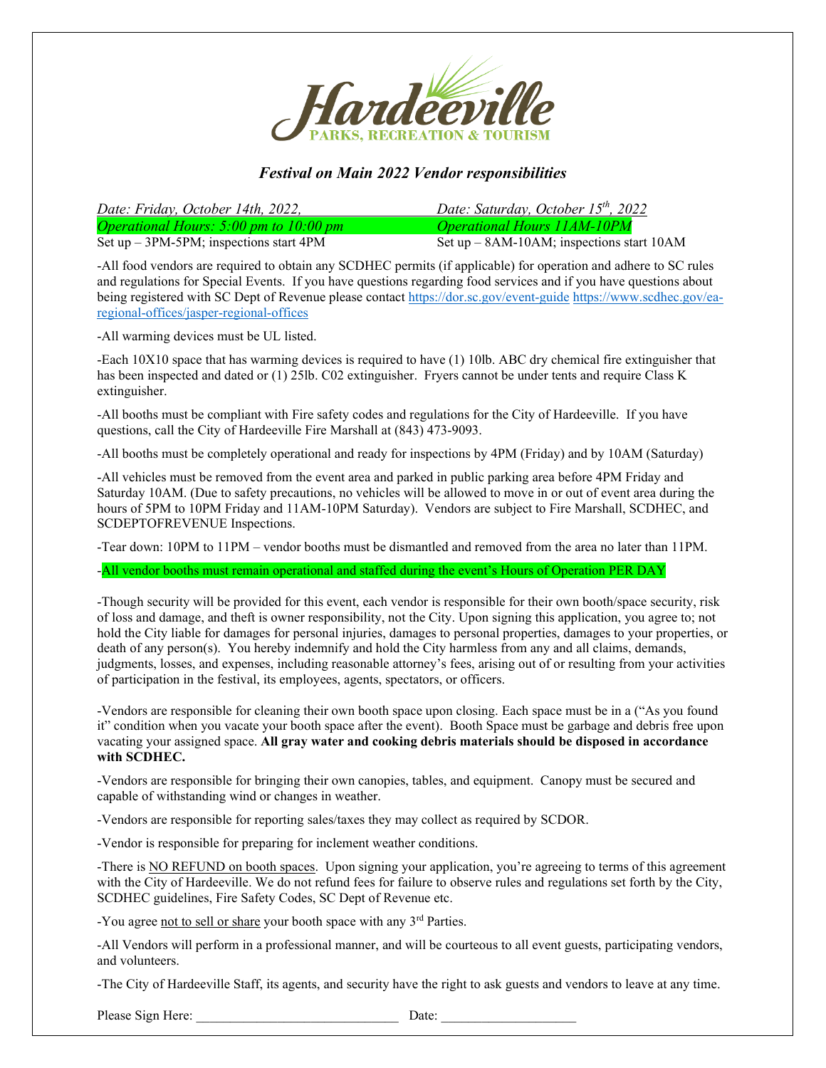

### *Festival on Main 2022 Vendor responsibilities*

*Date: Friday, October 14th, 2022, Date: Saturday, October 15th, 2022 Operational Hours:* 5:00 *pm to 10:00 pm*<br>
Set up – 3PM-5PM; inspections start 4PM<br>
Set up – 8AM-10AM; inspections start 4PM Set up – 8AM-10AM; inspections start 10AM

-All food vendors are required to obtain any SCDHEC permits (if applicable) for operation and adhere to SC rules and regulations for Special Events. If you have questions regarding food services and if you have questions about being registered with SC Dept of Revenue please contact<https://dor.sc.gov/event-guide> [https://www.scdhec.gov/ea](https://www.scdhec.gov/ea-regional-offices/jasper-regional-offices)[regional-offices/jasper-regional-offices](https://www.scdhec.gov/ea-regional-offices/jasper-regional-offices)

-All warming devices must be UL listed.

-Each 10X10 space that has warming devices is required to have (1) 10lb. ABC dry chemical fire extinguisher that has been inspected and dated or (1) 25lb. C02 extinguisher. Fryers cannot be under tents and require Class K extinguisher.

-All booths must be compliant with Fire safety codes and regulations for the City of Hardeeville. If you have questions, call the City of Hardeeville Fire Marshall at (843) 473-9093.

-All booths must be completely operational and ready for inspections by 4PM (Friday) and by 10AM (Saturday)

-All vehicles must be removed from the event area and parked in public parking area before 4PM Friday and Saturday 10AM. (Due to safety precautions, no vehicles will be allowed to move in or out of event area during the hours of 5PM to 10PM Friday and 11AM-10PM Saturday). Vendors are subject to Fire Marshall, SCDHEC, and SCDEPTOFREVENUE Inspections.

-Tear down: 10PM to 11PM – vendor booths must be dismantled and removed from the area no later than 11PM.

-All vendor booths must remain operational and staffed during the event's Hours of Operation PER DAY

-Though security will be provided for this event, each vendor is responsible for their own booth/space security, risk of loss and damage, and theft is owner responsibility, not the City. Upon signing this application, you agree to; not hold the City liable for damages for personal injuries, damages to personal properties, damages to your properties, or death of any person(s). You hereby indemnify and hold the City harmless from any and all claims, demands, judgments, losses, and expenses, including reasonable attorney's fees, arising out of or resulting from your activities of participation in the festival, its employees, agents, spectators, or officers.

-Vendors are responsible for cleaning their own booth space upon closing. Each space must be in a ("As you found it" condition when you vacate your booth space after the event). Booth Space must be garbage and debris free upon vacating your assigned space. **All gray water and cooking debris materials should be disposed in accordance with SCDHEC.**

-Vendors are responsible for bringing their own canopies, tables, and equipment. Canopy must be secured and capable of withstanding wind or changes in weather.

-Vendors are responsible for reporting sales/taxes they may collect as required by SCDOR.

-Vendor is responsible for preparing for inclement weather conditions.

-There is NO REFUND on booth spaces. Upon signing your application, you're agreeing to terms of this agreement with the City of Hardeeville. We do not refund fees for failure to observe rules and regulations set forth by the City, SCDHEC guidelines, Fire Safety Codes, SC Dept of Revenue etc.

-You agree not to sell or share your booth space with any  $3<sup>rd</sup>$  Parties.

-All Vendors will perform in a professional manner, and will be courteous to all event guests, participating vendors, and volunteers.

-The City of Hardeeville Staff, its agents, and security have the right to ask guests and vendors to leave at any time.

Please Sign Here: **Date: Date:**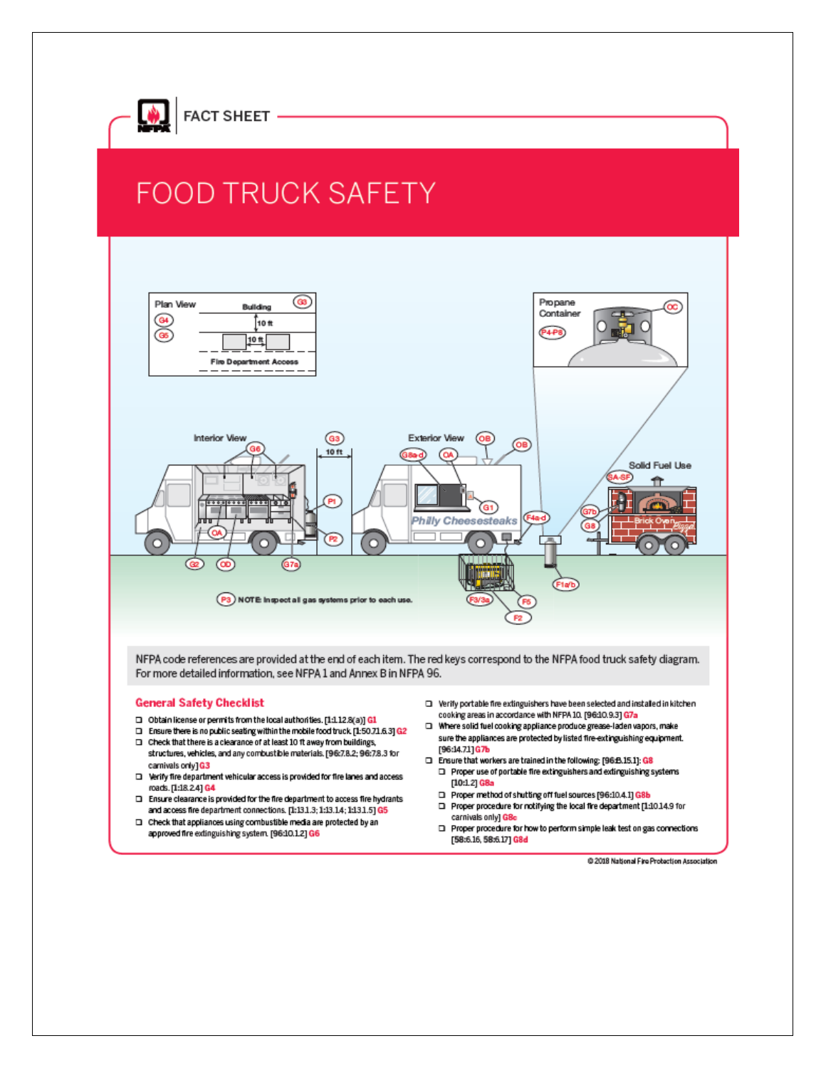

# **FOOD TRUCK SAFETY**



NFPA code references are provided at the end of each item. The red keys correspond to the NFPA food truck safety diagram. For more detailed information, see NFPA 1 and Annex B in NFPA 96.

#### **General Safety Checklist**

- □ Obtain license or permits from the local authorities. [1:112.8(a)] G1
- □ Ensure there is no public seating within the mobile food truck [1:50.71.6.3] G2 □ Check that there is a clearance of at least 10 ft away from buildings,
- structures, vehicles, and any combustible materials. [96:7.8.2; 96:7.8.3 for carnivals only] G3
- D Verify fire department vehicular access is provided for fire lanes and access roads. [1:18.2.4] G4
- □ Ensure clearance is provided for the fire department to access fire hydrants and access fire department connections. [1:13.1.3; 1:13.1.4; 1:13.1.5] G5
- □ Check that appliances using combustible media are protected by an approved fire extinguishing system. [96:10.1.2] G6
- $\square$  Verify portable fire extinguishers have been selected and installed in kitchen cooking areas in accordance with NFPA 10. [96:10.9.3] G7a
- T Where solid fuel cooking appliance produce grease-laden vapors, make sure the appliances are protected by listed fire-extinguishing equipment. [96:14.71] G7b
- Ensure that workers are trained in the following: [96:B.15.1]: G8  $\square$  Proper use of portable fire extinguishers and extinguishing systems  $[10:1.2]$  G8a
	- □ Proper method of shutting off fuel sources [96:10.4.1] G8b  $\square$  Proper procedure for notifying the local fire department [1:10.14.9 for
	- carnivals only] GBc
	- □ Proper procedure for how to perform simple leak test on gas connections [58:6.16, 58:6.17] G8d

@ 2018 National Fire Probection Association